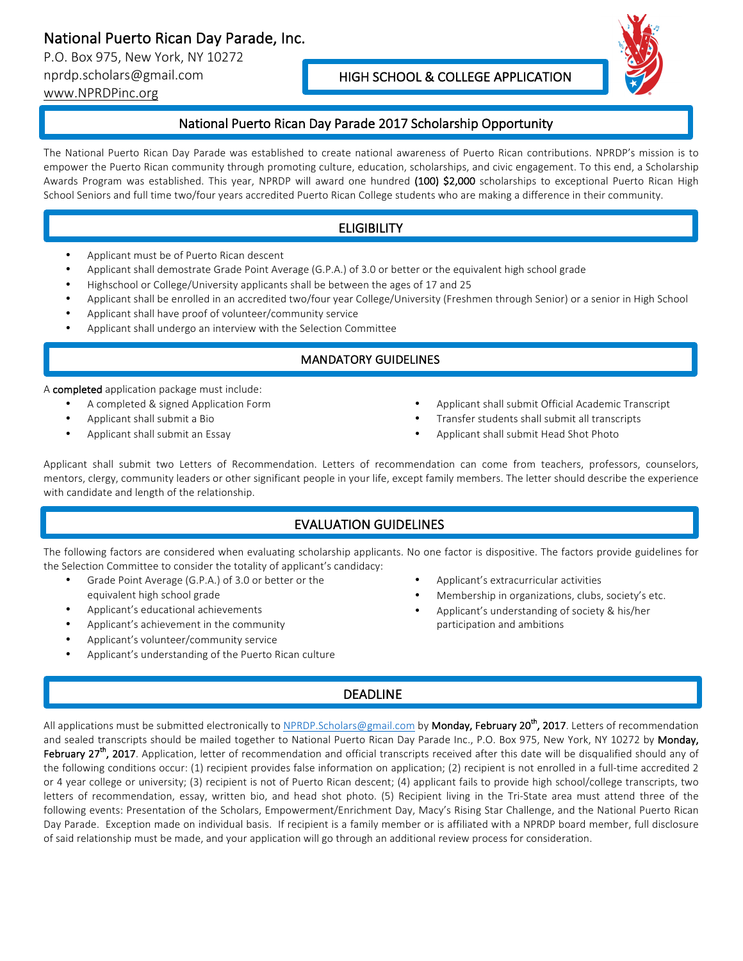# National Puerto Rican Day Parade, Inc.

P.O. Box 975, New York, NY 10272 nprdp.scholars@gmail.com

www.NPRDPinc.org

#### HIGH SCHOOL & COLLEGE APPLICATION



#### National Puerto Rican Day Parade 2017 Scholarship Opportunity

The National Puerto Rican Day Parade was established to create national awareness of Puerto Rican contributions. NPRDP's mission is to empower the Puerto Rican community through promoting culture, education, scholarships, and civic engagement. To this end, a Scholarship Awards Program was established. This year, NPRDP will award one hundred (100) \$2,000 scholarships to exceptional Puerto Rican High School Seniors and full time two/four years accredited Puerto Rican College students who are making a difference in their community.

### **ELIGIBILITY**

- Applicant must be of Puerto Rican descent
- Applicant shall demostrate Grade Point Average (G.P.A.) of 3.0 or better or the equivalent high school grade
- Highschool or College/University applicants shall be between the ages of 17 and 25
- Applicant shall be enrolled in an accredited two/four year College/University (Freshmen through Senior) or a senior in High School
- Applicant shall have proof of volunteer/community service
- Applicant shall undergo an interview with the Selection Committee

#### **MANDATORY GUIDELINES**

A completed application package must include:

- A completed & signed Application Form
- Applicant shall submit a Bio
- Applicant shall submit an Essay
- Applicant shall submit Official Academic Transcript
- Transfer students shall submit all transcripts
- Applicant shall submit Head Shot Photo

Applicant shall submit two Letters of Recommendation. Letters of recommendation can come from teachers, professors, counselors, mentors, clergy, community leaders or other significant people in your life, except family members. The letter should describe the experience with candidate and length of the relationship.

### EVALUATION GUIDELINES

The following factors are considered when evaluating scholarship applicants. No one factor is dispositive. The factors provide guidelines for the Selection Committee to consider the totality of applicant's candidacy:

- Grade Point Average (G.P.A.) of 3.0 or better or the equivalent high school grade
- Applicant's educational achievements
- Applicant's achievement in the community
- Applicant's volunteer/community service
- Applicant's understanding of the Puerto Rican culture
- Applicant's extracurricular activities
- Membership in organizations, clubs, society's etc.
- Applicant's understanding of society & his/her participation and ambitions

## DEADLINE

All applications must be submitted electronically to NPRDP.Scholars@gmail.com by **Monday, February 20<sup>th</sup>, 2017**. Letters of recommendation and sealed transcripts should be mailed together to National Puerto Rican Day Parade Inc., P.O. Box 975, New York, NY 10272 by Monday, February 27<sup>th</sup>, 2017. Application, letter of recommendation and official transcripts received after this date will be disqualified should any of the following conditions occur: (1) recipient provides false information on application; (2) recipient is not enrolled in a full-time accredited 2 or 4 year college or university; (3) recipient is not of Puerto Rican descent; (4) applicant fails to provide high school/college transcripts, two letters of recommendation, essay, written bio, and head shot photo. (5) Recipient living in the Tri-State area must attend three of the following events: Presentation of the Scholars, Empowerment/Enrichment Day, Macy's Rising Star Challenge, and the National Puerto Rican Day Parade. Exception made on individual basis. If recipient is a family member or is affiliated with a NPRDP board member, full disclosure of said relationship must be made, and your application will go through an additional review process for consideration.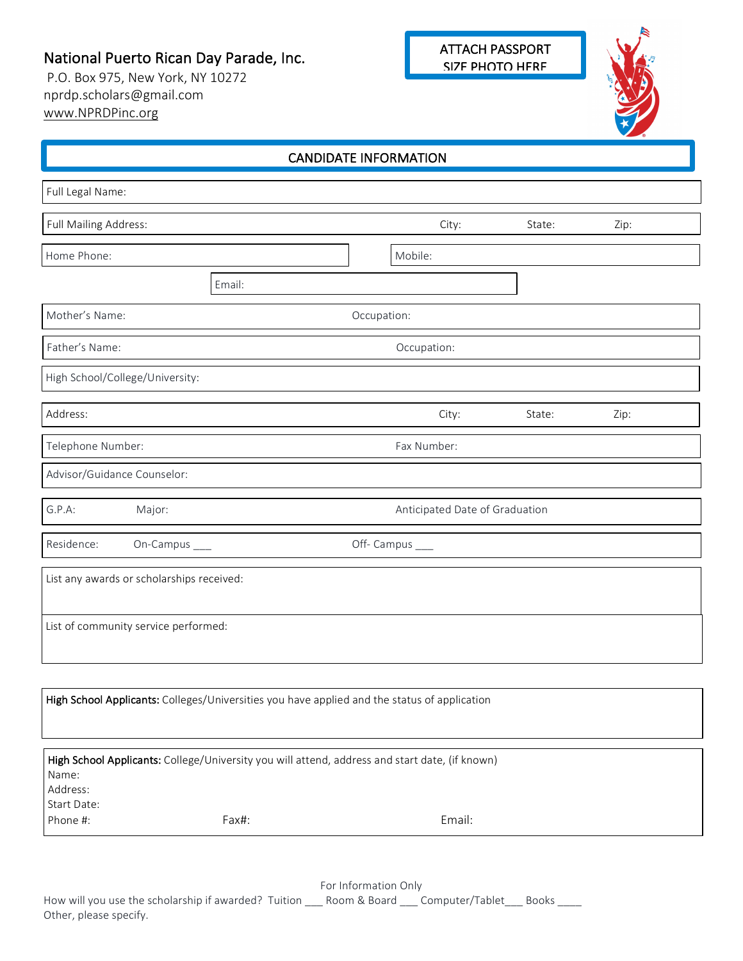# National Puerto Rican Day Parade, Inc.

P.O. Box 975, New York, NY 10272 nprdp.scholars@gmail.com www.NPRDPinc.org



| <b>CANDIDATE INFORMATION</b>     |                                           |        |             |                                                                                                |        |      |  |
|----------------------------------|-------------------------------------------|--------|-------------|------------------------------------------------------------------------------------------------|--------|------|--|
| Full Legal Name:                 |                                           |        |             |                                                                                                |        |      |  |
| Full Mailing Address:            |                                           |        |             | City:                                                                                          | State: | Zip: |  |
| Home Phone:                      |                                           |        |             | Mobile:                                                                                        |        |      |  |
|                                  |                                           | Email: |             |                                                                                                |        |      |  |
| Mother's Name:                   |                                           |        | Occupation: |                                                                                                |        |      |  |
| Father's Name:                   |                                           |        |             | Occupation:                                                                                    |        |      |  |
|                                  | High School/College/University:           |        |             |                                                                                                |        |      |  |
| Address:                         |                                           |        |             | City:                                                                                          | State: | Zip: |  |
| Telephone Number:                |                                           |        |             | Fax Number:                                                                                    |        |      |  |
|                                  | Advisor/Guidance Counselor:               |        |             |                                                                                                |        |      |  |
| G.P.A:                           | Anticipated Date of Graduation<br>Major:  |        |             |                                                                                                |        |      |  |
| Residence:                       | On-Campus ___                             |        |             | Off- Campus ___                                                                                |        |      |  |
|                                  | List any awards or scholarships received: |        |             |                                                                                                |        |      |  |
|                                  | List of community service performed:      |        |             |                                                                                                |        |      |  |
|                                  |                                           |        |             |                                                                                                |        |      |  |
|                                  |                                           |        |             | High School Applicants: Colleges/Universities you have applied and the status of application   |        |      |  |
| Name:<br>Address:<br>Start Date: |                                           |        |             | High School Applicants: College/University you will attend, address and start date, (if known) |        |      |  |
| Phone #:                         |                                           | Fax#:  |             | Email:                                                                                         |        |      |  |

For Information Only

How will you use the scholarship if awarded? Tuition \_\_\_ Room & Board \_\_\_ Computer/Tablet \_\_\_ Books \_\_\_\_ Other, please specify.